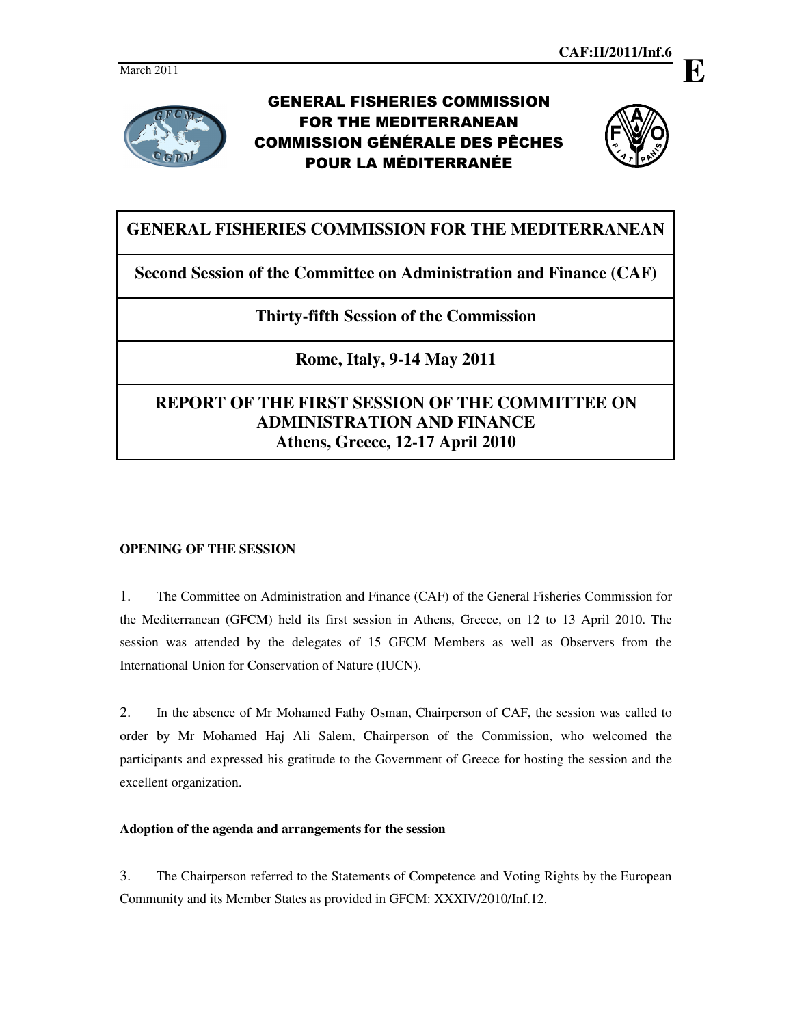

# GENERAL FISHERIES COMMISSION FOR THE MEDITERRANEAN COMMISSION GÉNÉRALE DES PÊCHES POUR LA MÉDITERRANÉE



# **GENERAL FISHERIES COMMISSION FOR THE MEDITERRANEAN**

**Second Session of the Committee on Administration and Finance (CAF)** 

## **Thirty-fifth Session of the Commission**

**Rome, Italy, 9-14 May 2011** 

# **REPORT OF THE FIRST SESSION OF THE COMMITTEE ON ADMINISTRATION AND FINANCE Athens, Greece, 12-17 April 2010**

## **OPENING OF THE SESSION**

1. The Committee on Administration and Finance (CAF) of the General Fisheries Commission for the Mediterranean (GFCM) held its first session in Athens, Greece, on 12 to 13 April 2010. The session was attended by the delegates of 15 GFCM Members as well as Observers from the International Union for Conservation of Nature (IUCN).

2. In the absence of Mr Mohamed Fathy Osman, Chairperson of CAF, the session was called to order by Mr Mohamed Haj Ali Salem, Chairperson of the Commission, who welcomed the participants and expressed his gratitude to the Government of Greece for hosting the session and the excellent organization.

## **Adoption of the agenda and arrangements for the session**

3. The Chairperson referred to the Statements of Competence and Voting Rights by the European Community and its Member States as provided in GFCM: XXXIV/2010/Inf.12.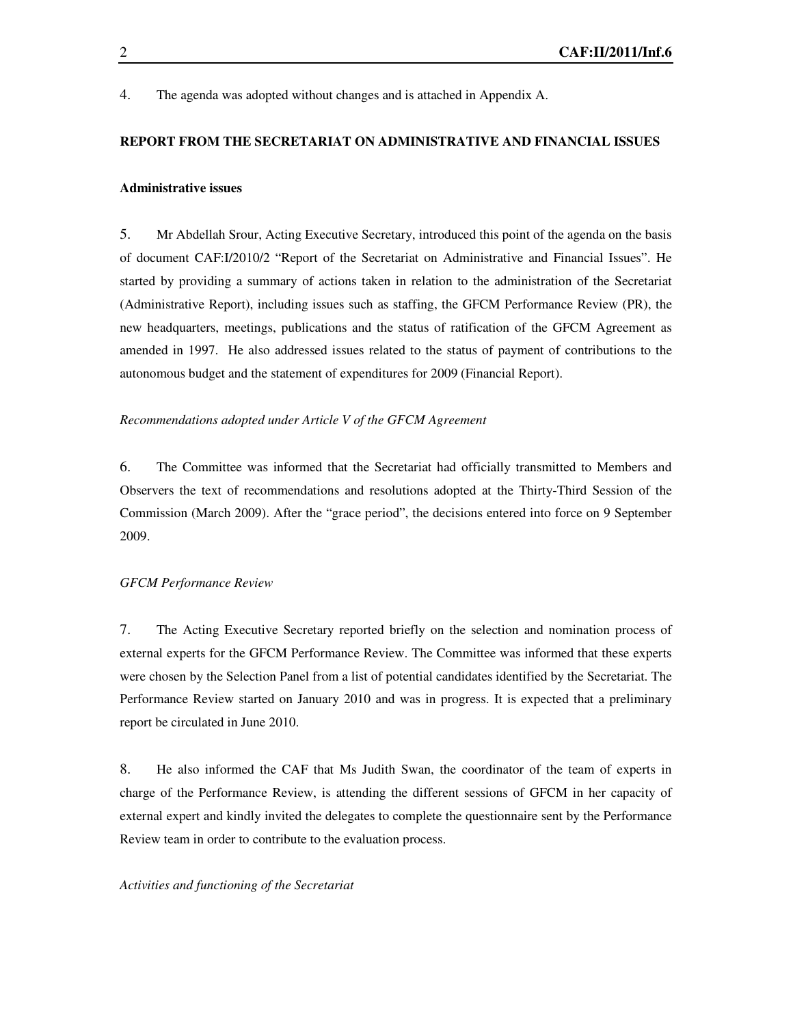4. The agenda was adopted without changes and is attached in Appendix A.

#### **REPORT FROM THE SECRETARIAT ON ADMINISTRATIVE AND FINANCIAL ISSUES**

#### **Administrative issues**

5. Mr Abdellah Srour, Acting Executive Secretary, introduced this point of the agenda on the basis of document CAF:I/2010/2 "Report of the Secretariat on Administrative and Financial Issues". He started by providing a summary of actions taken in relation to the administration of the Secretariat (Administrative Report), including issues such as staffing, the GFCM Performance Review (PR), the new headquarters, meetings, publications and the status of ratification of the GFCM Agreement as amended in 1997. He also addressed issues related to the status of payment of contributions to the autonomous budget and the statement of expenditures for 2009 (Financial Report).

#### *Recommendations adopted under Article V of the GFCM Agreement*

6. The Committee was informed that the Secretariat had officially transmitted to Members and Observers the text of recommendations and resolutions adopted at the Thirty-Third Session of the Commission (March 2009). After the "grace period", the decisions entered into force on 9 September 2009.

### *GFCM Performance Review*

7. The Acting Executive Secretary reported briefly on the selection and nomination process of external experts for the GFCM Performance Review. The Committee was informed that these experts were chosen by the Selection Panel from a list of potential candidates identified by the Secretariat. The Performance Review started on January 2010 and was in progress. It is expected that a preliminary report be circulated in June 2010.

8. He also informed the CAF that Ms Judith Swan, the coordinator of the team of experts in charge of the Performance Review, is attending the different sessions of GFCM in her capacity of external expert and kindly invited the delegates to complete the questionnaire sent by the Performance Review team in order to contribute to the evaluation process.

#### *Activities and functioning of the Secretariat*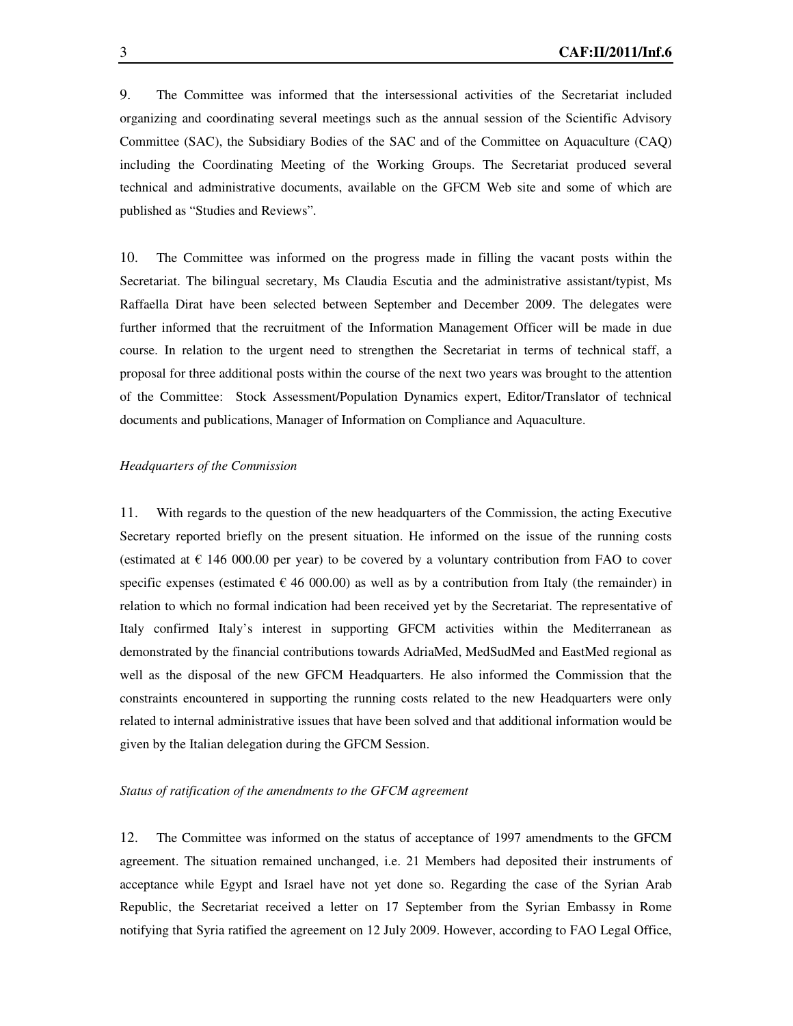9. The Committee was informed that the intersessional activities of the Secretariat included organizing and coordinating several meetings such as the annual session of the Scientific Advisory Committee (SAC), the Subsidiary Bodies of the SAC and of the Committee on Aquaculture (CAQ) including the Coordinating Meeting of the Working Groups. The Secretariat produced several technical and administrative documents, available on the GFCM Web site and some of which are published as "Studies and Reviews".

10. The Committee was informed on the progress made in filling the vacant posts within the Secretariat. The bilingual secretary, Ms Claudia Escutia and the administrative assistant/typist, Ms Raffaella Dirat have been selected between September and December 2009. The delegates were further informed that the recruitment of the Information Management Officer will be made in due course. In relation to the urgent need to strengthen the Secretariat in terms of technical staff, a proposal for three additional posts within the course of the next two years was brought to the attention of the Committee: Stock Assessment/Population Dynamics expert, Editor/Translator of technical documents and publications, Manager of Information on Compliance and Aquaculture.

#### *Headquarters of the Commission*

11. With regards to the question of the new headquarters of the Commission, the acting Executive Secretary reported briefly on the present situation. He informed on the issue of the running costs (estimated at  $\epsilon$  146 000.00 per year) to be covered by a voluntary contribution from FAO to cover specific expenses (estimated  $\epsilon$  46 000.00) as well as by a contribution from Italy (the remainder) in relation to which no formal indication had been received yet by the Secretariat. The representative of Italy confirmed Italy's interest in supporting GFCM activities within the Mediterranean as demonstrated by the financial contributions towards AdriaMed, MedSudMed and EastMed regional as well as the disposal of the new GFCM Headquarters. He also informed the Commission that the constraints encountered in supporting the running costs related to the new Headquarters were only related to internal administrative issues that have been solved and that additional information would be given by the Italian delegation during the GFCM Session.

#### *Status of ratification of the amendments to the GFCM agreement*

12. The Committee was informed on the status of acceptance of 1997 amendments to the GFCM agreement. The situation remained unchanged, i.e. 21 Members had deposited their instruments of acceptance while Egypt and Israel have not yet done so. Regarding the case of the Syrian Arab Republic, the Secretariat received a letter on 17 September from the Syrian Embassy in Rome notifying that Syria ratified the agreement on 12 July 2009. However, according to FAO Legal Office,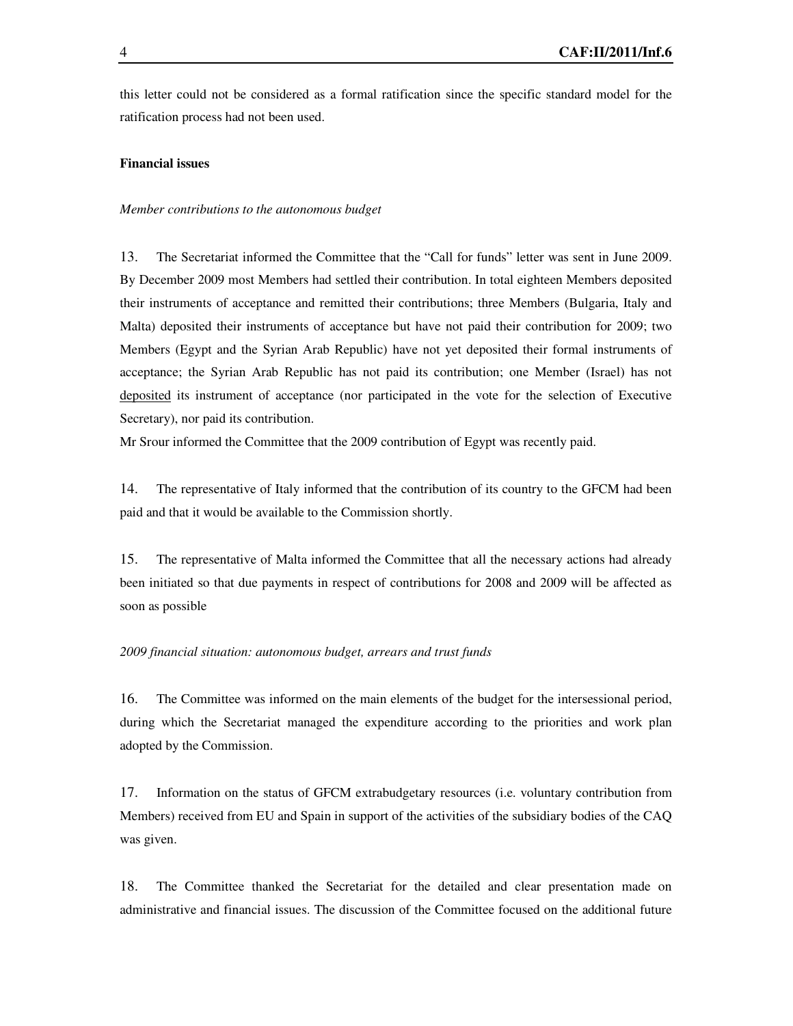this letter could not be considered as a formal ratification since the specific standard model for the ratification process had not been used.

#### **Financial issues**

#### *Member contributions to the autonomous budget*

13. The Secretariat informed the Committee that the "Call for funds" letter was sent in June 2009. By December 2009 most Members had settled their contribution. In total eighteen Members deposited their instruments of acceptance and remitted their contributions; three Members (Bulgaria, Italy and Malta) deposited their instruments of acceptance but have not paid their contribution for 2009; two Members (Egypt and the Syrian Arab Republic) have not yet deposited their formal instruments of acceptance; the Syrian Arab Republic has not paid its contribution; one Member (Israel) has not deposited its instrument of acceptance (nor participated in the vote for the selection of Executive Secretary), nor paid its contribution.

Mr Srour informed the Committee that the 2009 contribution of Egypt was recently paid.

14. The representative of Italy informed that the contribution of its country to the GFCM had been paid and that it would be available to the Commission shortly.

15. The representative of Malta informed the Committee that all the necessary actions had already been initiated so that due payments in respect of contributions for 2008 and 2009 will be affected as soon as possible

#### *2009 financial situation: autonomous budget, arrears and trust funds*

16. The Committee was informed on the main elements of the budget for the intersessional period, during which the Secretariat managed the expenditure according to the priorities and work plan adopted by the Commission.

17. Information on the status of GFCM extrabudgetary resources (i.e. voluntary contribution from Members) received from EU and Spain in support of the activities of the subsidiary bodies of the CAQ was given.

18. The Committee thanked the Secretariat for the detailed and clear presentation made on administrative and financial issues. The discussion of the Committee focused on the additional future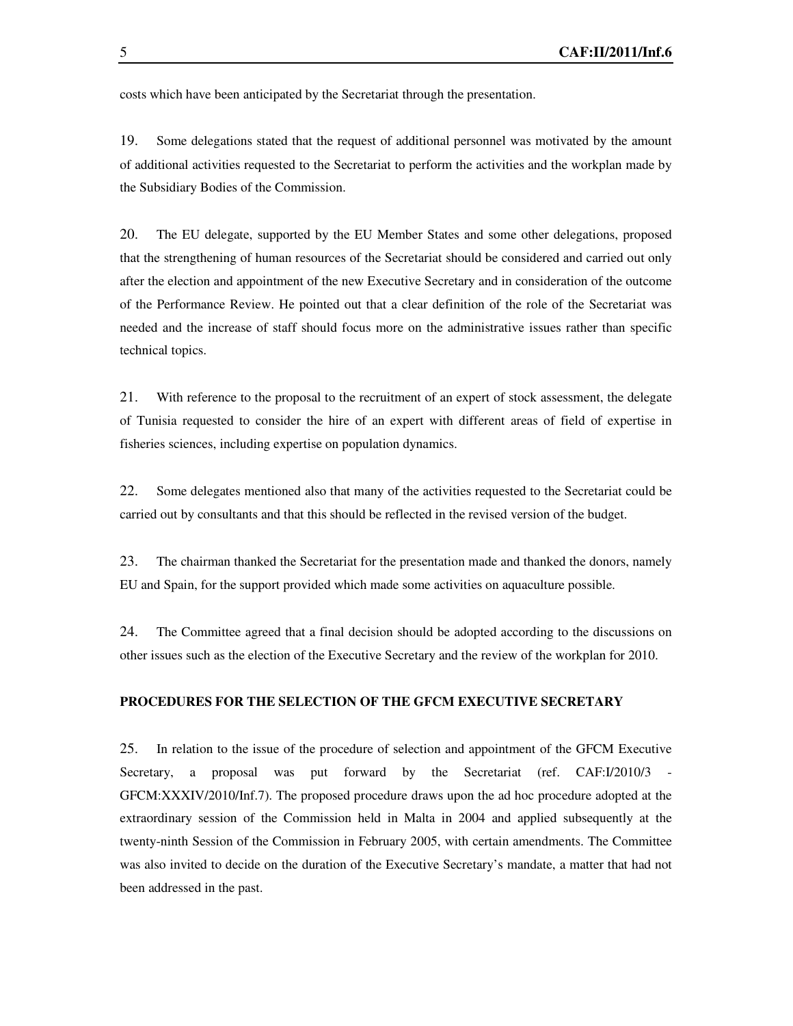costs which have been anticipated by the Secretariat through the presentation.

19. Some delegations stated that the request of additional personnel was motivated by the amount of additional activities requested to the Secretariat to perform the activities and the workplan made by the Subsidiary Bodies of the Commission.

20. The EU delegate, supported by the EU Member States and some other delegations, proposed that the strengthening of human resources of the Secretariat should be considered and carried out only after the election and appointment of the new Executive Secretary and in consideration of the outcome of the Performance Review. He pointed out that a clear definition of the role of the Secretariat was needed and the increase of staff should focus more on the administrative issues rather than specific technical topics.

21. With reference to the proposal to the recruitment of an expert of stock assessment, the delegate of Tunisia requested to consider the hire of an expert with different areas of field of expertise in fisheries sciences, including expertise on population dynamics.

22. Some delegates mentioned also that many of the activities requested to the Secretariat could be carried out by consultants and that this should be reflected in the revised version of the budget.

23. The chairman thanked the Secretariat for the presentation made and thanked the donors, namely EU and Spain, for the support provided which made some activities on aquaculture possible.

24. The Committee agreed that a final decision should be adopted according to the discussions on other issues such as the election of the Executive Secretary and the review of the workplan for 2010.

#### **PROCEDURES FOR THE SELECTION OF THE GFCM EXECUTIVE SECRETARY**

25. In relation to the issue of the procedure of selection and appointment of the GFCM Executive Secretary, a proposal was put forward by the Secretariat (ref. CAF:I/2010/3 - GFCM:XXXIV/2010/Inf.7). The proposed procedure draws upon the ad hoc procedure adopted at the extraordinary session of the Commission held in Malta in 2004 and applied subsequently at the twenty-ninth Session of the Commission in February 2005, with certain amendments. The Committee was also invited to decide on the duration of the Executive Secretary's mandate, a matter that had not been addressed in the past.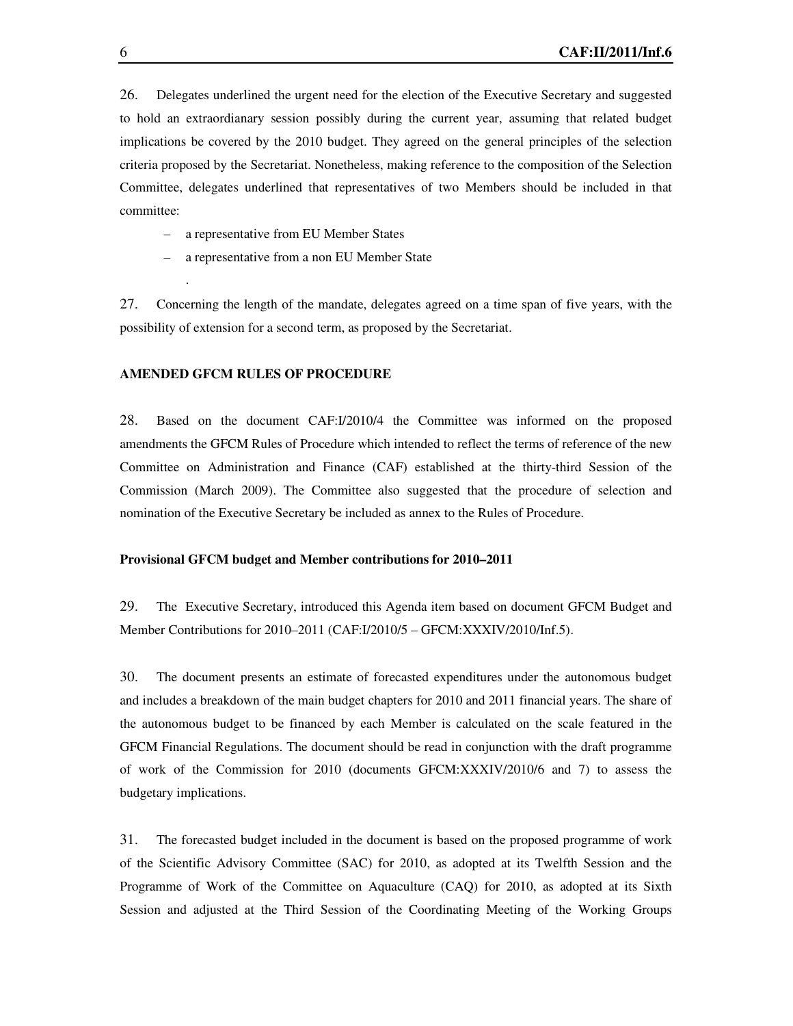26. Delegates underlined the urgent need for the election of the Executive Secretary and suggested to hold an extraordianary session possibly during the current year, assuming that related budget implications be covered by the 2010 budget. They agreed on the general principles of the selection criteria proposed by the Secretariat. Nonetheless, making reference to the composition of the Selection Committee, delegates underlined that representatives of two Members should be included in that committee:

- a representative from EU Member States
- a representative from a non EU Member State

27. Concerning the length of the mandate, delegates agreed on a time span of five years, with the possibility of extension for a second term, as proposed by the Secretariat.

#### **AMENDED GFCM RULES OF PROCEDURE**

.

28. Based on the document CAF:I/2010/4 the Committee was informed on the proposed amendments the GFCM Rules of Procedure which intended to reflect the terms of reference of the new Committee on Administration and Finance (CAF) established at the thirty-third Session of the Commission (March 2009). The Committee also suggested that the procedure of selection and nomination of the Executive Secretary be included as annex to the Rules of Procedure.

#### **Provisional GFCM budget and Member contributions for 2010–2011**

29. The Executive Secretary, introduced this Agenda item based on document GFCM Budget and Member Contributions for 2010–2011 (CAF:I/2010/5 – GFCM:XXXIV/2010/Inf.5).

30. The document presents an estimate of forecasted expenditures under the autonomous budget and includes a breakdown of the main budget chapters for 2010 and 2011 financial years. The share of the autonomous budget to be financed by each Member is calculated on the scale featured in the GFCM Financial Regulations. The document should be read in conjunction with the draft programme of work of the Commission for 2010 (documents GFCM:XXXIV/2010/6 and 7) to assess the budgetary implications.

31. The forecasted budget included in the document is based on the proposed programme of work of the Scientific Advisory Committee (SAC) for 2010, as adopted at its Twelfth Session and the Programme of Work of the Committee on Aquaculture (CAQ) for 2010, as adopted at its Sixth Session and adjusted at the Third Session of the Coordinating Meeting of the Working Groups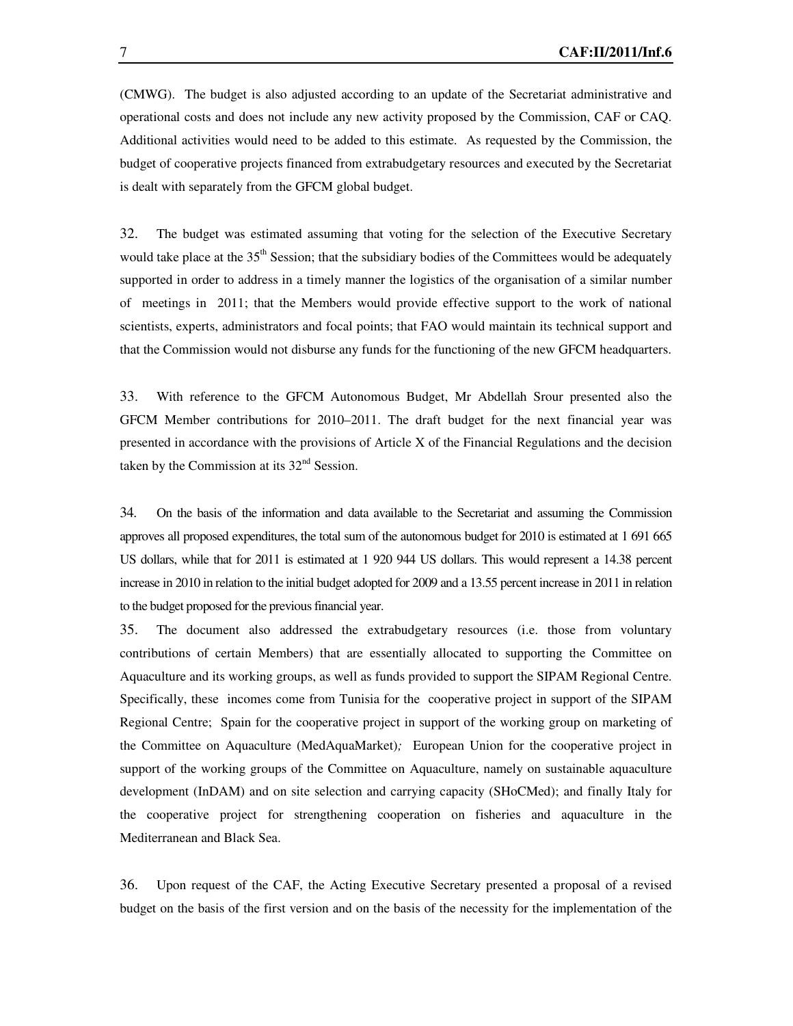(CMWG). The budget is also adjusted according to an update of the Secretariat administrative and operational costs and does not include any new activity proposed by the Commission, CAF or CAQ. Additional activities would need to be added to this estimate. As requested by the Commission, the budget of cooperative projects financed from extrabudgetary resources and executed by the Secretariat is dealt with separately from the GFCM global budget.

32. The budget was estimated assuming that voting for the selection of the Executive Secretary would take place at the 35<sup>th</sup> Session; that the subsidiary bodies of the Committees would be adequately supported in order to address in a timely manner the logistics of the organisation of a similar number of meetings in 2011; that the Members would provide effective support to the work of national scientists, experts, administrators and focal points; that FAO would maintain its technical support and that the Commission would not disburse any funds for the functioning of the new GFCM headquarters.

33. With reference to the GFCM Autonomous Budget, Mr Abdellah Srour presented also the GFCM Member contributions for 2010–2011. The draft budget for the next financial year was presented in accordance with the provisions of Article X of the Financial Regulations and the decision taken by the Commission at its  $32<sup>nd</sup>$  Session.

34. On the basis of the information and data available to the Secretariat and assuming the Commission approves all proposed expenditures, the total sum of the autonomous budget for 2010 is estimated at 1 691 665 US dollars, while that for 2011 is estimated at 1 920 944 US dollars. This would represent a 14.38 percent increase in 2010 in relation to the initial budget adopted for 2009 and a 13.55 percent increase in 2011 in relation to the budget proposed for the previous financial year.

35. The document also addressed the extrabudgetary resources (i.e. those from voluntary contributions of certain Members) that are essentially allocated to supporting the Committee on Aquaculture and its working groups, as well as funds provided to support the SIPAM Regional Centre. Specifically, these incomes come from Tunisia for the cooperative project in support of the SIPAM Regional Centre; Spain for the cooperative project in support of the working group on marketing of the Committee on Aquaculture (MedAquaMarket)*;* European Union for the cooperative project in support of the working groups of the Committee on Aquaculture, namely on sustainable aquaculture development (InDAM) and on site selection and carrying capacity (SHoCMed); and finally Italy for the cooperative project for strengthening cooperation on fisheries and aquaculture in the Mediterranean and Black Sea.

36. Upon request of the CAF, the Acting Executive Secretary presented a proposal of a revised budget on the basis of the first version and on the basis of the necessity for the implementation of the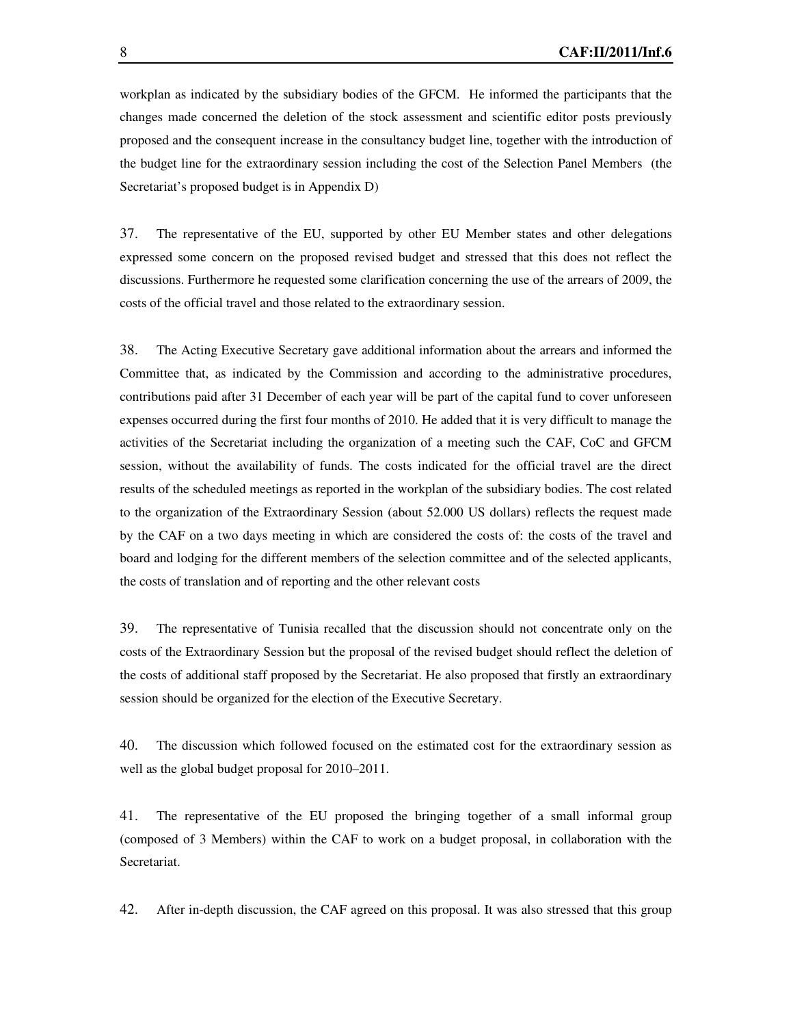workplan as indicated by the subsidiary bodies of the GFCM. He informed the participants that the changes made concerned the deletion of the stock assessment and scientific editor posts previously proposed and the consequent increase in the consultancy budget line, together with the introduction of the budget line for the extraordinary session including the cost of the Selection Panel Members (the Secretariat's proposed budget is in Appendix D)

37. The representative of the EU, supported by other EU Member states and other delegations expressed some concern on the proposed revised budget and stressed that this does not reflect the discussions. Furthermore he requested some clarification concerning the use of the arrears of 2009, the costs of the official travel and those related to the extraordinary session.

38. The Acting Executive Secretary gave additional information about the arrears and informed the Committee that, as indicated by the Commission and according to the administrative procedures, contributions paid after 31 December of each year will be part of the capital fund to cover unforeseen expenses occurred during the first four months of 2010. He added that it is very difficult to manage the activities of the Secretariat including the organization of a meeting such the CAF, CoC and GFCM session, without the availability of funds. The costs indicated for the official travel are the direct results of the scheduled meetings as reported in the workplan of the subsidiary bodies. The cost related to the organization of the Extraordinary Session (about 52.000 US dollars) reflects the request made by the CAF on a two days meeting in which are considered the costs of: the costs of the travel and board and lodging for the different members of the selection committee and of the selected applicants, the costs of translation and of reporting and the other relevant costs

39. The representative of Tunisia recalled that the discussion should not concentrate only on the costs of the Extraordinary Session but the proposal of the revised budget should reflect the deletion of the costs of additional staff proposed by the Secretariat. He also proposed that firstly an extraordinary session should be organized for the election of the Executive Secretary.

40. The discussion which followed focused on the estimated cost for the extraordinary session as well as the global budget proposal for 2010–2011.

41. The representative of the EU proposed the bringing together of a small informal group (composed of 3 Members) within the CAF to work on a budget proposal, in collaboration with the Secretariat.

42. After in-depth discussion, the CAF agreed on this proposal. It was also stressed that this group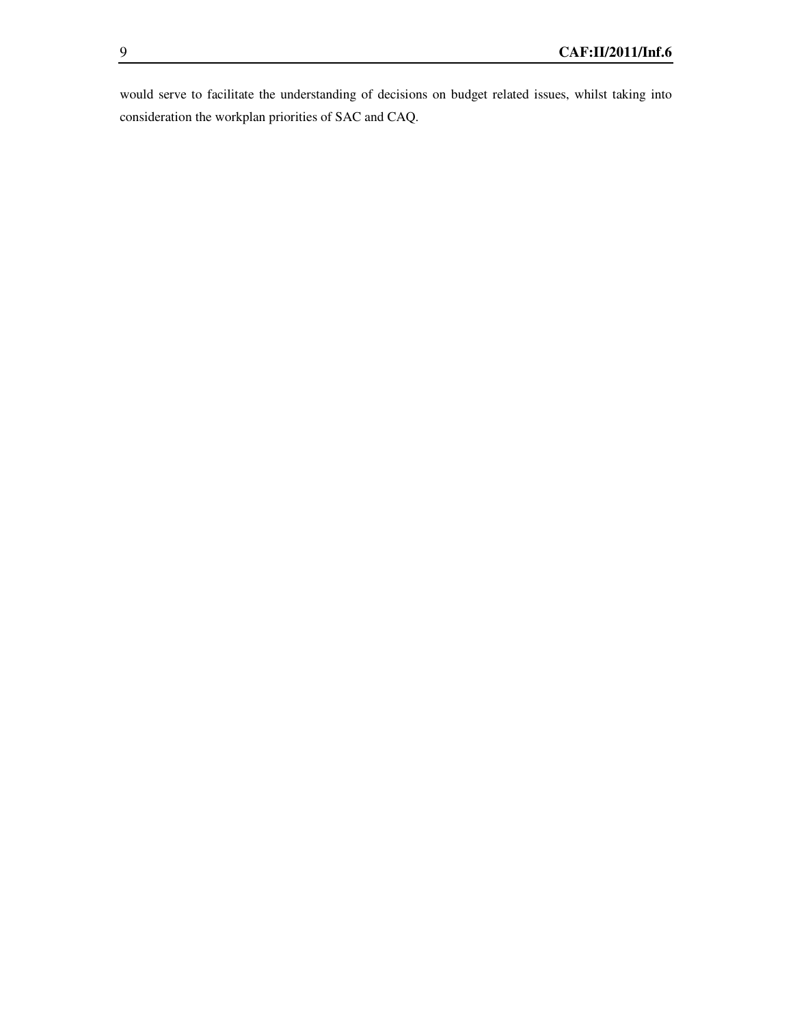would serve to facilitate the understanding of decisions on budget related issues, whilst taking into consideration the workplan priorities of SAC and CAQ.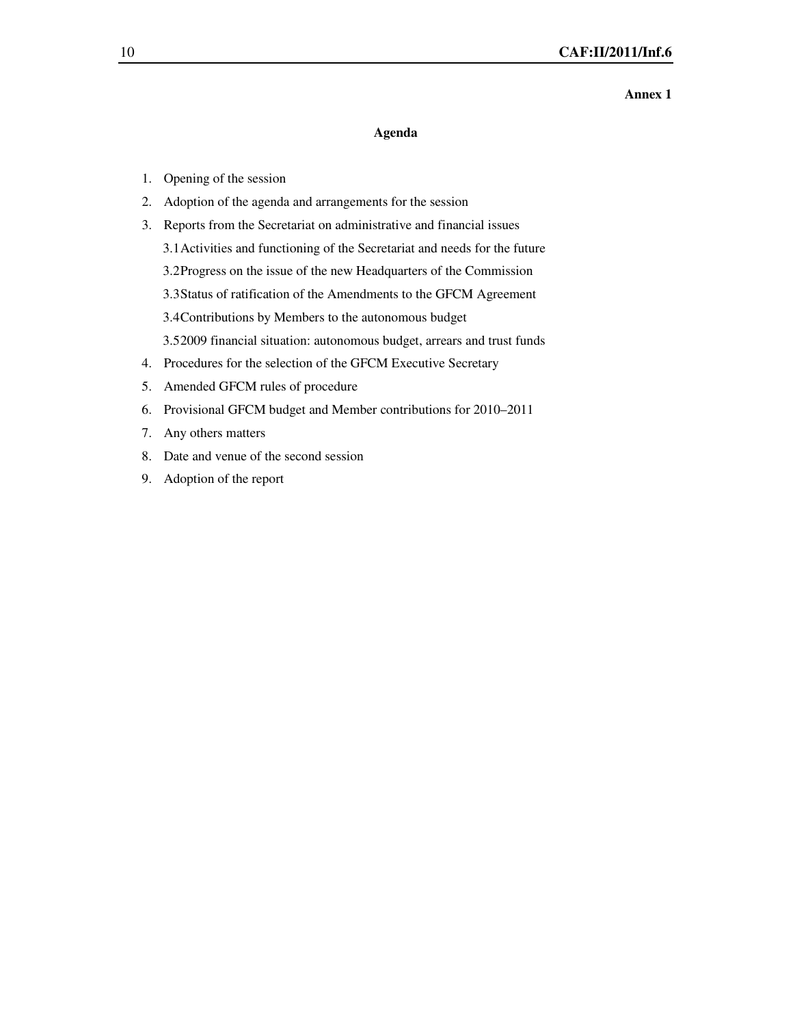#### **Annex 1**

#### **Agenda**

- 1. Opening of the session
- 2. Adoption of the agenda and arrangements for the session
- 3. Reports from the Secretariat on administrative and financial issues
	- 3.1Activities and functioning of the Secretariat and needs for the future
	- 3.2Progress on the issue of the new Headquarters of the Commission
	- 3.3Status of ratification of the Amendments to the GFCM Agreement
	- 3.4Contributions by Members to the autonomous budget
	- 3.52009 financial situation: autonomous budget, arrears and trust funds
- 4. Procedures for the selection of the GFCM Executive Secretary
- 5. Amended GFCM rules of procedure
- 6. Provisional GFCM budget and Member contributions for 2010–2011
- 7. Any others matters
- 8. Date and venue of the second session
- 9. Adoption of the report